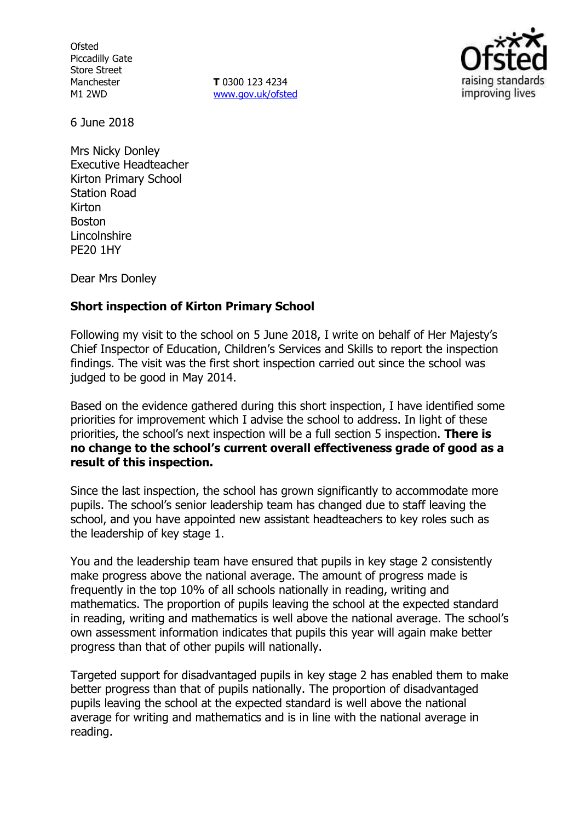**Ofsted** Piccadilly Gate Store Street Manchester M1 2WD

**T** 0300 123 4234 www.gov.uk/ofsted



6 June 2018

Mrs Nicky Donley Executive Headteacher Kirton Primary School Station Road Kirton Boston Lincolnshire PE20 1HY

Dear Mrs Donley

## **Short inspection of Kirton Primary School**

Following my visit to the school on 5 June 2018, I write on behalf of Her Majesty's Chief Inspector of Education, Children's Services and Skills to report the inspection findings. The visit was the first short inspection carried out since the school was judged to be good in May 2014.

Based on the evidence gathered during this short inspection, I have identified some priorities for improvement which I advise the school to address. In light of these priorities, the school's next inspection will be a full section 5 inspection. **There is no change to the school's current overall effectiveness grade of good as a result of this inspection.**

Since the last inspection, the school has grown significantly to accommodate more pupils. The school's senior leadership team has changed due to staff leaving the school, and you have appointed new assistant headteachers to key roles such as the leadership of key stage 1.

You and the leadership team have ensured that pupils in key stage 2 consistently make progress above the national average. The amount of progress made is frequently in the top 10% of all schools nationally in reading, writing and mathematics. The proportion of pupils leaving the school at the expected standard in reading, writing and mathematics is well above the national average. The school's own assessment information indicates that pupils this year will again make better progress than that of other pupils will nationally.

Targeted support for disadvantaged pupils in key stage 2 has enabled them to make better progress than that of pupils nationally. The proportion of disadvantaged pupils leaving the school at the expected standard is well above the national average for writing and mathematics and is in line with the national average in reading.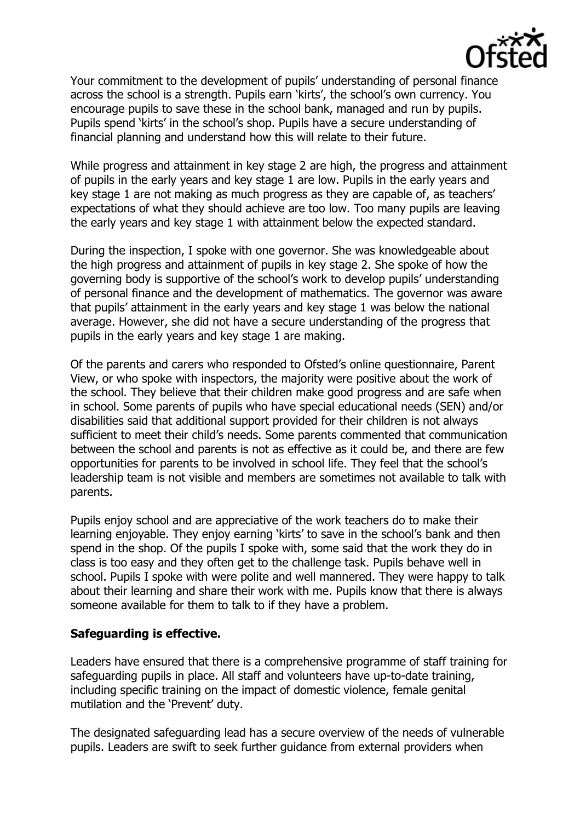

Your commitment to the development of pupils' understanding of personal finance across the school is a strength. Pupils earn 'kirts', the school's own currency. You encourage pupils to save these in the school bank, managed and run by pupils. Pupils spend 'kirts' in the school's shop. Pupils have a secure understanding of financial planning and understand how this will relate to their future.

While progress and attainment in key stage 2 are high, the progress and attainment of pupils in the early years and key stage 1 are low. Pupils in the early years and key stage 1 are not making as much progress as they are capable of, as teachers' expectations of what they should achieve are too low. Too many pupils are leaving the early years and key stage 1 with attainment below the expected standard.

During the inspection, I spoke with one governor. She was knowledgeable about the high progress and attainment of pupils in key stage 2. She spoke of how the governing body is supportive of the school's work to develop pupils' understanding of personal finance and the development of mathematics. The governor was aware that pupils' attainment in the early years and key stage 1 was below the national average. However, she did not have a secure understanding of the progress that pupils in the early years and key stage 1 are making.

Of the parents and carers who responded to Ofsted's online questionnaire, Parent View, or who spoke with inspectors, the majority were positive about the work of the school. They believe that their children make good progress and are safe when in school. Some parents of pupils who have special educational needs (SEN) and/or disabilities said that additional support provided for their children is not always sufficient to meet their child's needs. Some parents commented that communication between the school and parents is not as effective as it could be, and there are few opportunities for parents to be involved in school life. They feel that the school's leadership team is not visible and members are sometimes not available to talk with parents.

Pupils enjoy school and are appreciative of the work teachers do to make their learning enjoyable. They enjoy earning 'kirts' to save in the school's bank and then spend in the shop. Of the pupils I spoke with, some said that the work they do in class is too easy and they often get to the challenge task. Pupils behave well in school. Pupils I spoke with were polite and well mannered. They were happy to talk about their learning and share their work with me. Pupils know that there is always someone available for them to talk to if they have a problem.

## **Safeguarding is effective.**

Leaders have ensured that there is a comprehensive programme of staff training for safeguarding pupils in place. All staff and volunteers have up-to-date training, including specific training on the impact of domestic violence, female genital mutilation and the 'Prevent' duty.

The designated safeguarding lead has a secure overview of the needs of vulnerable pupils. Leaders are swift to seek further guidance from external providers when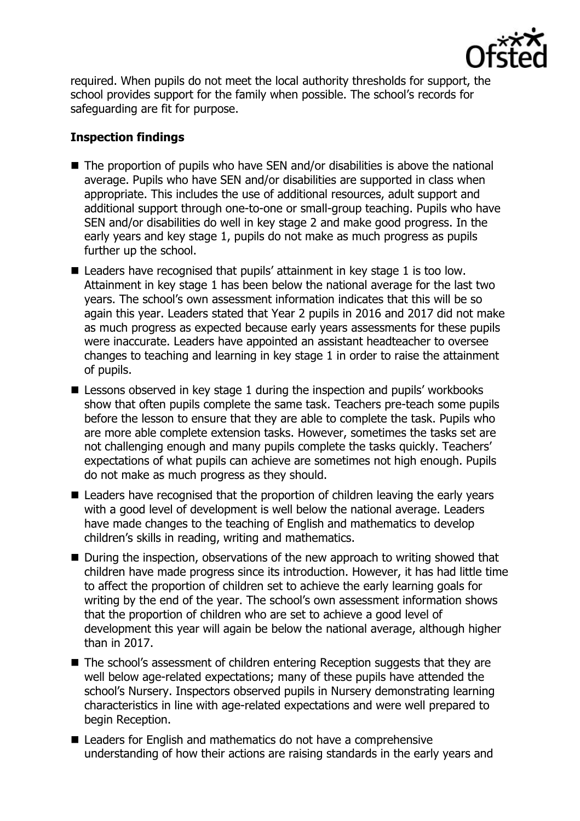

required. When pupils do not meet the local authority thresholds for support, the school provides support for the family when possible. The school's records for safeguarding are fit for purpose.

# **Inspection findings**

- $\blacksquare$  The proportion of pupils who have SEN and/or disabilities is above the national average. Pupils who have SEN and/or disabilities are supported in class when appropriate. This includes the use of additional resources, adult support and additional support through one-to-one or small-group teaching. Pupils who have SEN and/or disabilities do well in key stage 2 and make good progress. In the early years and key stage 1, pupils do not make as much progress as pupils further up the school.
- Leaders have recognised that pupils' attainment in key stage 1 is too low. Attainment in key stage 1 has been below the national average for the last two years. The school's own assessment information indicates that this will be so again this year. Leaders stated that Year 2 pupils in 2016 and 2017 did not make as much progress as expected because early years assessments for these pupils were inaccurate. Leaders have appointed an assistant headteacher to oversee changes to teaching and learning in key stage 1 in order to raise the attainment of pupils.
- Lessons observed in key stage 1 during the inspection and pupils' workbooks show that often pupils complete the same task. Teachers pre-teach some pupils before the lesson to ensure that they are able to complete the task. Pupils who are more able complete extension tasks. However, sometimes the tasks set are not challenging enough and many pupils complete the tasks quickly. Teachers' expectations of what pupils can achieve are sometimes not high enough. Pupils do not make as much progress as they should.
- Leaders have recognised that the proportion of children leaving the early years with a good level of development is well below the national average. Leaders have made changes to the teaching of English and mathematics to develop children's skills in reading, writing and mathematics.
- During the inspection, observations of the new approach to writing showed that children have made progress since its introduction. However, it has had little time to affect the proportion of children set to achieve the early learning goals for writing by the end of the year. The school's own assessment information shows that the proportion of children who are set to achieve a good level of development this year will again be below the national average, although higher than in 2017.
- The school's assessment of children entering Reception suggests that they are well below age-related expectations; many of these pupils have attended the school's Nursery. Inspectors observed pupils in Nursery demonstrating learning characteristics in line with age-related expectations and were well prepared to begin Reception.
- Leaders for English and mathematics do not have a comprehensive understanding of how their actions are raising standards in the early years and